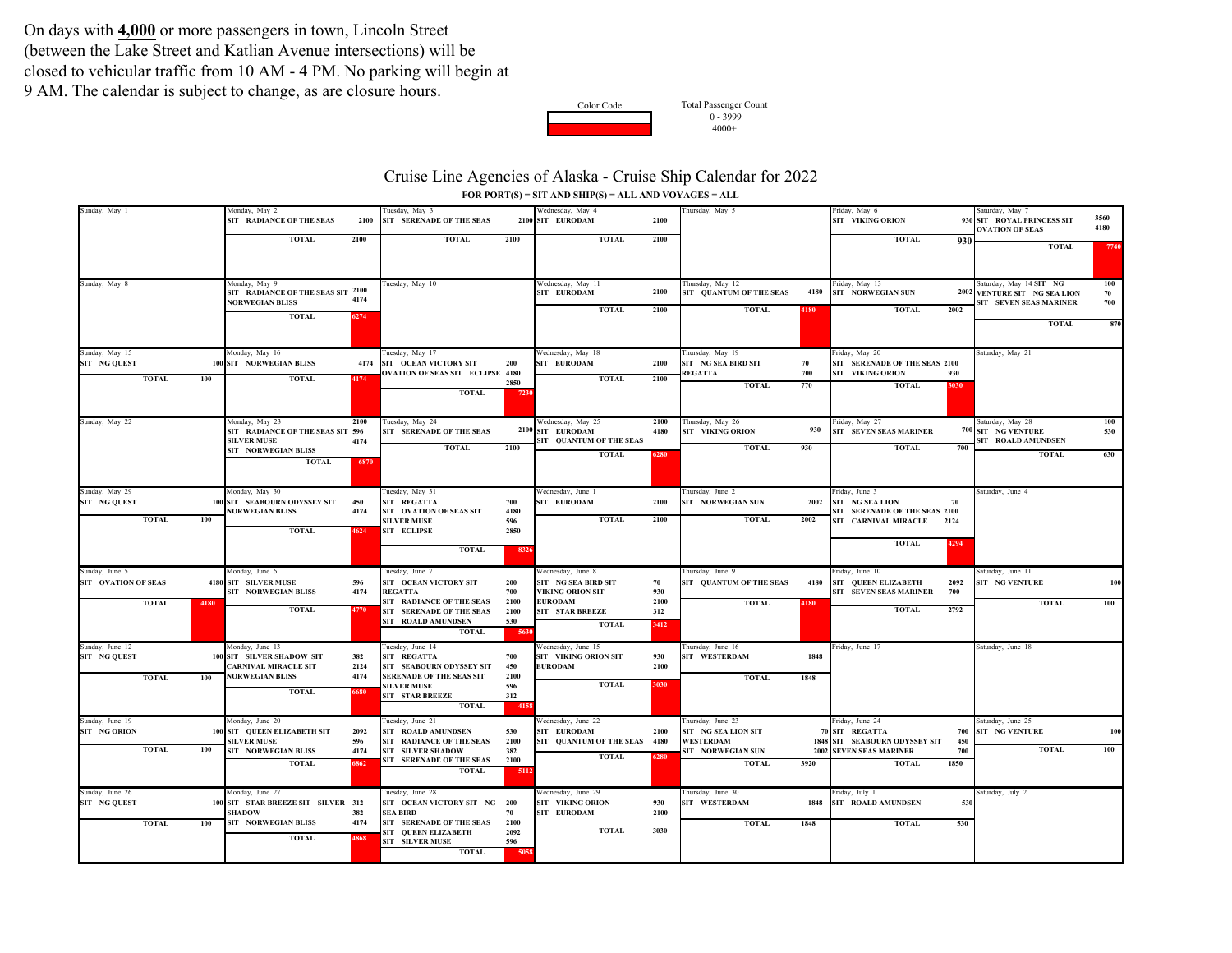On days with **4,000** or more passengers in town, Lincoln Street (between the Lake Street and Katlian Avenue intersections) will be closed to vehicular traffic from 10 AM - 4 PM. No parking will begin at 9 AM. The calendar is subject to change, as are closure hours.



4000+ Total Passenger Count  $0 - 3999$ 

## Cruise Line Agencies of Alaska - Cruise Ship Calendar for 2022 **FOR PORT(S) = SIT AND SHIP(S) = ALL AND VOYAGES = ALL**

| Sunday, May 1                          | Monday, May 2                                         |      | Tuesday, May 3                                  |      | Wednesday, May 4                  |      | Thursday, May 5                          |      | Friday, May 6                           |     | Saturday, May 7                            |      |
|----------------------------------------|-------------------------------------------------------|------|-------------------------------------------------|------|-----------------------------------|------|------------------------------------------|------|-----------------------------------------|-----|--------------------------------------------|------|
|                                        | SIT RADIANCE OF THE SEAS                              | 2100 | SIT SERENADE OF THE SEAS                        |      | 2100 SIT EURODAM                  | 2100 |                                          |      | SIT VIKING ORION                        |     | 930 SIT ROYAL PRINCESS SIT                 | 3560 |
|                                        |                                                       |      |                                                 |      |                                   |      |                                          |      |                                         |     | <b>OVATION OF SEAS</b>                     | 4180 |
|                                        | <b>TOTAL</b>                                          | 2100 | <b>TOTAL</b>                                    | 2100 | <b>TOTAL</b>                      | 2100 |                                          |      | <b>TOTAL</b>                            | 930 |                                            |      |
|                                        |                                                       |      |                                                 |      |                                   |      |                                          |      |                                         |     | <b>TOTAL</b>                               | 7740 |
|                                        |                                                       |      |                                                 |      |                                   |      |                                          |      |                                         |     |                                            |      |
|                                        |                                                       |      |                                                 |      |                                   |      |                                          |      |                                         |     |                                            |      |
|                                        | Monday, May 9                                         |      |                                                 |      | Wednesday, May 11                 |      | Thursday, May 12                         |      | Friday, May 13                          |     | Saturday, May 14 SIT NG                    | 100  |
| Sunday, May 8                          | SIT RADIANCE OF THE SEAS SIT 2100                     |      | Tuesday, May 10                                 |      | SIT EURODAM                       | 2100 | SIT QUANTUM OF THE SEAS                  | 4180 | <b>SIT NORWEGIAN SUN</b>                |     | 2002 VENTURE SIT NG SEA LION               | 70   |
|                                        | <b>NORWEGIAN BLISS</b>                                | 4174 |                                                 |      |                                   |      |                                          |      |                                         |     | SIT SEVEN SEAS MARINER                     | 700  |
|                                        |                                                       |      |                                                 |      | <b>TOTAL</b>                      | 2100 | <b>TOTAL</b>                             | 4180 | 2002<br><b>TOTAL</b>                    |     |                                            |      |
|                                        | <b>TOTAL</b>                                          | 6274 |                                                 |      |                                   |      |                                          |      |                                         |     | <b>TOTAL</b>                               | 870  |
|                                        |                                                       |      |                                                 |      |                                   |      |                                          |      |                                         |     |                                            |      |
|                                        |                                                       |      |                                                 |      |                                   |      |                                          |      |                                         |     |                                            |      |
| Sunday, May 15                         | Monday, May 16                                        |      | Tuesday, May 17                                 |      | Wednesday, May 18                 |      | Thursday, May 19                         |      | Friday, May 20                          |     | Saturday, May 21                           |      |
| SIT NG QUEST                           | 100 SIT NORWEGIAN BLISS                               | 4174 | SIT OCEAN VICTORY SIT                           | 200  | SIT EURODAM                       | 2100 | SIT NG SEA BIRD SIT                      | 70   | SIT SERENADE OF THE SEAS 2100           |     |                                            |      |
|                                        |                                                       |      | <b>OVATION OF SEAS SIT ECLIPSE 4180</b>         |      |                                   |      | REGATTA                                  | 700  | <b>SIT VIKING ORION</b><br>930          |     |                                            |      |
| <b>TOTAL</b><br>100                    | <b>TOTAL</b>                                          | 4174 |                                                 | 2850 | <b>TOTAL</b>                      | 2100 | <b>TOTAL</b>                             | 770  | <b>TOTAL</b><br>3030                    |     |                                            |      |
|                                        |                                                       |      | <b>TOTAL</b>                                    | 7230 |                                   |      |                                          |      |                                         |     |                                            |      |
|                                        |                                                       |      |                                                 |      |                                   |      |                                          |      |                                         |     |                                            |      |
|                                        |                                                       |      |                                                 |      |                                   |      |                                          |      |                                         |     |                                            |      |
| Sunday, May 22                         | Monday, May 23                                        | 2100 | Tuesday, May 24                                 |      | Wednesday, May 25                 | 2100 | Thursday, May 26                         |      | Friday, May 27                          |     | Saturday, May 28                           | 100  |
|                                        | SIT RADIANCE OF THE SEAS SIT 596                      |      | SIT SERENADE OF THE SEAS                        |      | 2100 SIT EURODAM                  | 4180 | SIT VIKING ORION                         | 930  | SIT SEVEN SEAS MARINER                  |     | 700 SIT NG VENTURE                         | 530  |
|                                        | <b>SILVER MUSE</b>                                    | 4174 | <b>TOTAL</b>                                    | 2100 | SIT QUANTUM OF THE SEAS           |      | <b>TOTAL</b>                             | 930  | <b>TOTAL</b><br>700                     |     | SIT ROALD AMUNDSEN                         |      |
|                                        | SIT NORWEGIAN BLISS                                   |      |                                                 |      | <b>TOTAL</b>                      | 6280 |                                          |      |                                         |     | <b>TOTAL</b>                               | 630  |
|                                        | <b>TOTAL</b>                                          | 6870 |                                                 |      |                                   |      |                                          |      |                                         |     |                                            |      |
|                                        |                                                       |      |                                                 |      |                                   |      |                                          |      |                                         |     |                                            |      |
|                                        |                                                       |      |                                                 |      |                                   |      |                                          |      |                                         |     |                                            |      |
| Sunday, May 29<br>SIT NG QUEST         | Monday, May 30<br>100 SIT SEABOURN ODYSSEY SIT        | 450  | Tuesday, May 31<br>SIT REGATTA                  | 700  | Wednesday, June 1<br>SIT EURODAM  | 2100 | Thursday, June 2<br>SIT NORWEGIAN SUN    | 2002 | Friday, June 3<br>SIT NG SEA LION<br>70 |     | Saturday, June 4                           |      |
|                                        | <b>NORWEGIAN BLISS</b>                                | 4174 | SIT OVATION OF SEAS SIT                         | 4180 |                                   |      |                                          |      | SIT SERENADE OF THE SEAS 2100           |     |                                            |      |
| <b>TOTAL</b><br>100                    |                                                       |      | <b>SILVER MUSE</b>                              | 596  | <b>TOTAL</b>                      | 2100 | <b>TOTAL</b>                             | 2002 | SIT CARNIVAL MIRACLE 2124               |     |                                            |      |
|                                        | <b>TOTAL</b>                                          | 4624 | <b>SIT ECLIPSE</b>                              | 2850 |                                   |      |                                          |      |                                         |     |                                            |      |
|                                        |                                                       |      |                                                 |      |                                   |      |                                          |      | <b>TOTAL</b><br>4294                    |     |                                            |      |
|                                        |                                                       |      | <b>TOTAL</b>                                    | 8326 |                                   |      |                                          |      |                                         |     |                                            |      |
|                                        |                                                       |      |                                                 |      |                                   |      |                                          |      |                                         |     |                                            |      |
| Sunday, June 5                         | Monday, June 6                                        |      | Tuesday, June 7                                 |      | Wednesday, June 8                 |      | Thursday, June 9                         |      | Friday, June 10                         |     | Saturday, June 11                          |      |
| SIT OVATION OF SEAS                    | 4180 SIT SILVER MUSE                                  | 596  | SIT OCEAN VICTORY SIT                           | 200  | SIT NG SEA BIRD SIT               | 70   | SIT QUANTUM OF THE SEAS                  | 4180 | <b>SIT QUEEN ELIZABETH</b><br>2092      |     | <b>SIT NG VENTURE</b>                      | 100  |
|                                        | SIT NORWEGIAN BLISS                                   | 4174 | <b>REGATTA</b>                                  | 700  | VIKING ORION SIT                  | 930  |                                          |      | SIT SEVEN SEAS MARINER<br>700           |     |                                            |      |
| <b>TOTAL</b><br>4180                   |                                                       |      | SIT RADIANCE OF THE SEAS                        | 2100 | <b>EURODAM</b>                    | 2100 | <b>TOTAL</b>                             | 4180 |                                         |     | <b>TOTAL</b>                               | 100  |
|                                        | <b>TOTAL</b>                                          | 4770 | SIT SERENADE OF THE SEAS                        | 2100 | <b>SIT STAR BREEZE</b>            | 312  |                                          |      | <b>TOTAL</b><br>2792                    |     |                                            |      |
|                                        |                                                       |      | SIT ROALD AMUNDSEN                              | 530  | <b>TOTAL</b>                      | 3412 |                                          |      |                                         |     |                                            |      |
|                                        |                                                       |      | <b>TOTAL</b>                                    | 5630 |                                   |      |                                          |      |                                         |     |                                            |      |
| Sunday, June 12                        | fonday, June 13                                       |      | Tuesday, June 14                                |      | Wednesday, June 15                |      | Thursday, June 16                        |      | Friday, June 17                         |     | Saturday, June 18                          |      |
| SIT NG QUEST                           | 100 SIT SILVER SHADOW SIT                             | 382  | SIT REGATTA                                     | 700  | SIT VIKING ORION SIT              | 930  | SIT WESTERDAM                            | 1848 |                                         |     |                                            |      |
|                                        | CARNIVAL MIRACLE SIT                                  | 2124 | SIT SEABOURN ODYSSEY SIT                        | 450  | <b>EURODAM</b>                    | 2100 |                                          |      |                                         |     |                                            |      |
| <b>TOTAL</b><br>100                    | <b>NORWEGIAN BLISS</b>                                | 4174 | <b>SERENADE OF THE SEAS SIT</b>                 | 2100 |                                   |      | <b>TOTAL</b>                             | 1848 |                                         |     |                                            |      |
|                                        |                                                       |      | <b>SILVER MUSE</b>                              | 596  | <b>TOTAL</b>                      | 3030 |                                          |      |                                         |     |                                            |      |
|                                        | <b>TOTAL</b>                                          | 6680 | SIT STAR BREEZE                                 | 312  |                                   |      |                                          |      |                                         |     |                                            |      |
|                                        |                                                       |      | <b>TOTAL</b>                                    | 4158 |                                   |      |                                          |      |                                         |     |                                            |      |
|                                        |                                                       |      |                                                 |      |                                   |      |                                          |      |                                         |     |                                            |      |
| Sunday, June 19<br><b>SIT NG ORION</b> | Monday, June 20<br><b>100 SIT QUEEN ELIZABETH SIT</b> | 2092 | Tuesday, June 21<br>SIT ROALD AMUNDSEN          | 530  | Wednesday, June 22<br>SIT EURODAM | 2100 | Thursday, June 23<br>SIT NG SEA LION SIT |      | Friday, June 24<br>70 SIT REGATTA       | 700 | Saturday, June 25<br><b>SIT NG VENTURE</b> |      |
|                                        | <b>SILVER MUSE</b>                                    | 596  | <b>SIT RADIANCE OF THE SEAS</b>                 | 2100 | SIT QUANTUM OF THE SEAS 4180      |      | <b>WESTERDAM</b>                         |      | 1848 SIT SEABOURN ODYSSEY SIT<br>450    |     |                                            | 100  |
| <b>TOTAL</b><br>100                    | SIT NORWEGIAN BLISS                                   | 4174 | <b>SIT SILVER SHADOW</b>                        | 382  |                                   |      | SIT NORWEGIAN SUN                        |      | 2002 SEVEN SEAS MARINER                 | 700 | <b>TOTAL</b>                               | 100  |
|                                        |                                                       |      | SIT SERENADE OF THE SEAS                        | 2100 | <b>TOTAL</b>                      | 6280 |                                          |      |                                         |     |                                            |      |
|                                        | <b>TOTAL</b>                                          | 6862 | <b>TOTAL</b>                                    | 5112 |                                   |      | <b>TOTAL</b>                             | 3920 | <b>TOTAL</b><br>1850                    |     |                                            |      |
|                                        |                                                       |      |                                                 |      |                                   |      |                                          |      |                                         |     |                                            |      |
| Sunday, June 26                        | Monday, June 27                                       |      | Tuesday, June 28                                |      | Wednesday, June 29                |      | Thursday, June 30                        |      | Friday, July 1                          |     | saturday, July 2                           |      |
| <b>SIT NG QUEST</b>                    |                                                       |      |                                                 |      | SIT VIKING ORION                  | 930  | SIT WESTERDAM                            |      | <b>SIT ROALD AMUNDSEN</b>               |     |                                            |      |
|                                        | 100 SIT STAR BREEZE SIT SILVER 312<br><b>SHADOW</b>   | 382  | SIT OCEAN VICTORY SIT NG 200<br><b>SEA BIRD</b> | 70   | SIT EURODAM                       | 2100 |                                          | 1848 |                                         | 530 |                                            |      |
| <b>TOTAL</b><br>100                    | SIT NORWEGIAN BLISS                                   | 4174 | <b>SIT SERENADE OF THE SEAS</b>                 | 2100 |                                   |      | <b>TOTAL</b>                             | 1848 | <b>TOTAL</b>                            | 530 |                                            |      |
|                                        |                                                       |      | SIT QUEEN ELIZABETH                             | 2092 | <b>TOTAL</b>                      | 3030 |                                          |      |                                         |     |                                            |      |
|                                        | <b>TOTAL</b>                                          | 4868 | <b>SIT SILVER MUSE</b>                          | 596  |                                   |      |                                          |      |                                         |     |                                            |      |
|                                        |                                                       |      | <b>TOTAL</b>                                    | 5058 |                                   |      |                                          |      |                                         |     |                                            |      |
|                                        |                                                       |      |                                                 |      |                                   |      |                                          |      |                                         |     |                                            |      |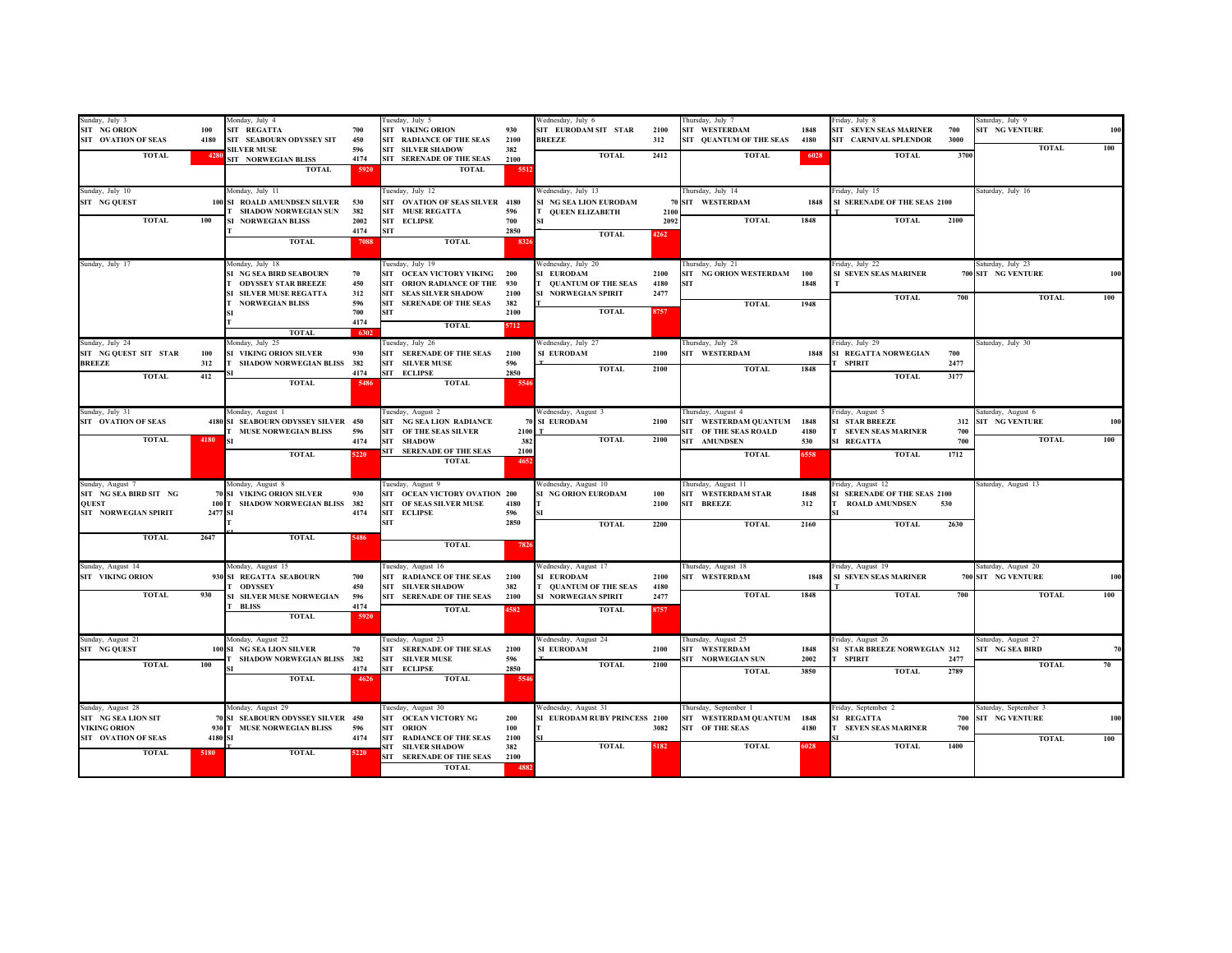| Sunday, July 3<br>SIT NG ORION<br>SIT OVATION OF SEAS<br><b>TOTAL</b><br>Sunday, July 10<br>SIT NG QUEST | 100<br>4180<br>4280    | Monday, July 4<br>SIT REGATTA<br>SIT SEABOURN ODYSSEY SIT<br><b>SILVER MUSE</b><br>SIT NORWEGIAN BLISS<br><b>TOTAL</b><br>Monday, July 11<br>100 SI ROALD AMUNDSEN SILVER | 700<br>450<br>596<br>4174<br>5920<br>530       | Tuesday, July 5<br><b>SIT VIKING ORION</b><br>SIT RADIANCE OF THE SEAS<br><b>SIT SILVER SHADOW</b><br>SIT SERENADE OF THE SEAS<br><b>TOTAL</b><br>Tuesday, July 12<br>SIT OVATION OF SEAS SILVER 4180 | 930<br>2100<br>382<br>2100<br>5512        | Wednesday, July 6<br>SIT EURODAM SIT STAR<br><b>BREEZE</b><br><b>TOTAL</b><br>Wednesday, July 13<br>SI NG SEA LION EURODAM | 2100<br>312<br>2412          | Thursday, July 7<br>SIT WESTERDAM<br>SIT QUANTUM OF THE SEAS<br><b>TOTAL</b><br>Thursday, July 14<br>70 SIT WESTERDAM | 1848<br>4180<br>6028<br>1848 | Friday, July 8<br><b>SIT SEVEN SEAS MARINER</b><br>700<br>SIT CARNIVAL SPLENDOR<br>3000<br><b>TOTAL</b><br>3700<br>Friday, July 15<br>SI SERENADE OF THE SEAS 2100 | Saturday, July 9<br>SIT NG VENTURE<br>100<br><b>TOTAL</b><br>100<br>Saturday, July 16 |
|----------------------------------------------------------------------------------------------------------|------------------------|---------------------------------------------------------------------------------------------------------------------------------------------------------------------------|------------------------------------------------|-------------------------------------------------------------------------------------------------------------------------------------------------------------------------------------------------------|-------------------------------------------|----------------------------------------------------------------------------------------------------------------------------|------------------------------|-----------------------------------------------------------------------------------------------------------------------|------------------------------|--------------------------------------------------------------------------------------------------------------------------------------------------------------------|---------------------------------------------------------------------------------------|
| <b>TOTAL</b>                                                                                             | 100                    | <b>I SHADOW NORWEGIAN SUN</b><br>SI NORWEGIAN BLISS<br><b>TOTAL</b>                                                                                                       | 382<br>2002<br>4174<br>7088                    | SIT MUSE REGATTA<br>SIT ECLIPSE<br><b>SIT</b><br><b>TOTAL</b>                                                                                                                                         | 596<br>700<br>2850<br>8326                | <b>QUEEN ELIZABETH</b><br><b>TOTAL</b>                                                                                     | 2100<br>2092<br>4262         | <b>TOTAL</b>                                                                                                          | 1848                         | <b>TOTAL</b><br>2100                                                                                                                                               |                                                                                       |
| Sunday, July 17                                                                                          |                        | Monday, July 18<br>SI NG SEA BIRD SEABOURN<br><b>ODYSSEY STAR BREEZE</b><br><b>SI SILVER MUSE REGATTA</b><br><b>NORWEGIAN BLISS</b><br><b>TOTAL</b>                       | 70<br>450<br>312<br>596<br>700<br>4174<br>6302 | Tuesday, July 19<br>SIT OCEAN VICTORY VIKING 200<br>SIT ORION RADIANCE OF THE 930<br>SIT SEAS SILVER SHADOW<br>SIT SERENADE OF THE SEAS<br><b>SIT</b><br><b>TOTAL</b>                                 | 2100<br>382<br>2100<br>5712               | Wednesday, July 20<br>SI EURODAM<br><b>QUANTUM OF THE SEAS</b><br>SI NORWEGIAN SPIRIT<br><b>TOTAL</b>                      | 2100<br>4180<br>2477<br>8757 | Thursday, July 21<br>SIT NG ORION WESTERDAM 100<br><b>SIT</b><br><b>TOTAL</b>                                         | 1848<br>1948                 | Friday, July 22<br><b>SI SEVEN SEAS MARINER</b><br><b>TOTAL</b><br>700                                                                                             | Saturday, July 23<br>700 SIT NG VENTURE<br>100<br><b>TOTAL</b><br>100                 |
| Sunday, July 24<br>SIT NG QUEST SIT STAR<br><b>BREEZE</b><br><b>TOTAL</b>                                | 100<br>312<br>412      | Monday, July 25<br>SI VIKING ORION SILVER<br>SHADOW NORWEGIAN BLISS 382<br><b>TOTAL</b>                                                                                   | 930<br>4174<br>5486                            | Tuesday, July 26<br>SIT SERENADE OF THE SEAS<br><b>SIT SILVER MUSE</b><br>SIT ECLIPSE<br><b>TOTAL</b>                                                                                                 | 2100<br>596<br>2850<br>5546               | Wednesday, July 27<br>SI EURODAM<br><b>TOTAL</b>                                                                           | 2100<br>2100                 | Thursday, July 28<br>SIT WESTERDAM<br><b>TOTAL</b>                                                                    | 1848<br>1848                 | Friday, July 29<br>SI REGATTA NORWEGIAN<br>700<br>2477<br>SPIRIT<br><b>TOTAL</b><br>3177                                                                           | Saturday, July 30                                                                     |
| Sunday, July 31<br>SIT OVATION OF SEAS<br><b>TOTAL</b>                                                   | $4180$ SI              | Monday, August 1<br>4180 SI SEABOURN ODYSSEY SILVER 450<br><b>MUSE NORWEGIAN BLISS</b><br><b>TOTAL</b>                                                                    | 596<br>4174<br>5220                            | Tuesday, August 2<br>SIT NG SEA LION RADIANCE<br>SIT OF THE SEAS SILVER<br>SIT SHADOW<br>SIT SERENADE OF THE SEAS<br><b>TOTAL</b>                                                                     | 2100<br>382<br>2100<br>4652               | Wednesday, August 3<br>70 SI EURODAM<br><b>TOTAL</b>                                                                       | 2100<br>2100                 | Thursday, August 4<br>SIT WESTERDAM QUANTUM<br>SIT OF THE SEAS ROALD<br><b>SIT AMUNDSEN</b><br><b>TOTAL</b>           | 1848<br>4180<br>530<br>6558  | Friday, August 5<br><b>SI STAR BREEZE</b><br><b>SEVEN SEAS MARINER</b><br>700<br>700<br>SI REGATTA<br>1712<br><b>TOTAL</b>                                         | Saturday, August 6<br>312 SIT NG VENTURE<br>100<br><b>TOTAL</b><br>100                |
| Sunday, August 7<br>SIT NG SEA BIRD SIT NG<br><b>QUEST</b><br>SIT NORWEGIAN SPIRIT<br><b>TOTAL</b>       | 2477 SI<br>2647        | Monday, August 8<br>70 SI VIKING ORION SILVER<br>100 T SHADOW NORWEGIAN BLISS 382<br><b>TOTAL</b>                                                                         | 930<br>4174<br>5486                            | Tuesday, August 9<br>SIT OCEAN VICTORY OVATION 200<br>SIT OF SEAS SILVER MUSE<br>SIT ECLIPSE<br><b>SIT</b>                                                                                            | 4180<br>596<br>2850                       | Wednesday, August 10<br>SI NG ORION EURODAM<br><b>TOTAL</b>                                                                | 100<br>2100<br>2200          | Thursday, August 11<br>SIT WESTERDAM STAR<br><b>SIT BREEZE</b><br><b>TOTAL</b>                                        | 1848<br>312<br>2160          | Friday, August 12<br>SI SERENADE OF THE SEAS 2100<br><b>ROALD AMUNDSEN</b><br>530<br><b>TOTAL</b><br>2630                                                          | Saturday, August 13                                                                   |
| Sunday, August 14<br><b>SIT VIKING ORION</b><br><b>TOTAL</b>                                             | 930<br>930             | Monday, August 15<br>SI REGATTA SEABOURN<br><b>ODYSSEY</b><br>SI SILVER MUSE NORWEGIAN<br><b>T</b> BLISS<br><b>TOTAL</b>                                                  | 700<br>450<br>596<br>4174<br>5920              | <b>TOTAL</b><br>Tuesday, August 16<br>SIT RADIANCE OF THE SEAS<br><b>SIT SILVER SHADOW</b><br><b>SIT SERENADE OF THE SEAS</b><br><b>TOTAL</b>                                                         | 7826<br>2100<br>382<br>2100<br>4582       | Wednesday, August 17<br>SI EURODAM<br><b>QUANTUM OF THE SEAS</b><br>SI NORWEGIAN SPIRIT<br><b>TOTAL</b>                    | 2100<br>4180<br>2477<br>8757 | Thursday, August 18<br>SIT WESTERDAM<br><b>TOTAL</b>                                                                  | 1848<br>1848                 | Friday, August 19<br>SI SEVEN SEAS MARINER<br><b>TOTAL</b><br>700                                                                                                  | Saturday, August 20<br>700 SIT NG VENTURE<br>100<br><b>TOTAL</b><br>100               |
| Sunday, August 21<br>SIT NG QUEST<br><b>TOTAL</b>                                                        | 100<br>100             | fonday, August 22<br>SI NG SEA LION SILVER<br>SHADOW NORWEGIAN BLISS 382<br><b>TOTAL</b>                                                                                  | 70<br>4174<br>4626                             | Tuesday, August 23<br>SIT SERENADE OF THE SEAS 2100<br><b>SIT SILVER MUSE</b><br>SIT ECLIPSE<br><b>TOTAL</b>                                                                                          | 596<br>2850<br>5546                       | Wednesday, August 24<br>SI EURODAM<br><b>TOTAL</b>                                                                         | 2100<br>2100                 | Thursday, August 25<br>SIT WESTERDAM<br>SIT NORWEGIAN SUN<br><b>TOTAL</b>                                             | 1848<br>2002<br>3850         | Friday, August 26<br>SI STAR BREEZE NORWEGIAN 312<br>SPIRIT<br>2477<br>2789<br><b>TOTAL</b>                                                                        | Saturday, August 27<br>SIT NG SEA BIRD<br>70<br><b>TOTAL</b><br>70                    |
| Sunday, August 28<br>SIT NG SEA LION SIT<br><b>VIKING ORION</b><br>SIT OVATION OF SEAS<br><b>TOTAL</b>   | 930<br>4180 SI<br>5180 | Monday, August 29<br>70 SI SEABOURN ODYSSEY SILVER 450<br>T MUSE NORWEGIAN BLISS<br><b>TOTAL</b>                                                                          | 596<br>4174<br>5220                            | Tuesday, August 30<br>SIT OCEAN VICTORY NG<br>SIT ORION<br><b>SIT RADIANCE OF THE SEAS</b><br><b>SIT SILVER SHADOW</b><br>SIT SERENADE OF THE SEAS<br><b>TOTAL</b>                                    | 200<br>100<br>2100<br>382<br>2100<br>4882 | Wednesday, August 31<br>SI EURODAM RUBY PRINCESS 2100<br><b>TOTAL</b>                                                      | 3082<br>5182                 | Thursday, September 1<br>SIT WESTERDAM QUANTUM 1848<br>SIT OF THE SEAS<br><b>TOTAL</b>                                | 4180<br>6028                 | Friday, September 2<br>SI REGATTA<br><b>T SEVEN SEAS MARINER</b><br>700<br><b>TOTAL</b><br>1400                                                                    | Saturday, September 3<br>700 SIT NG VENTURE<br>100<br>100<br><b>TOTAL</b>             |